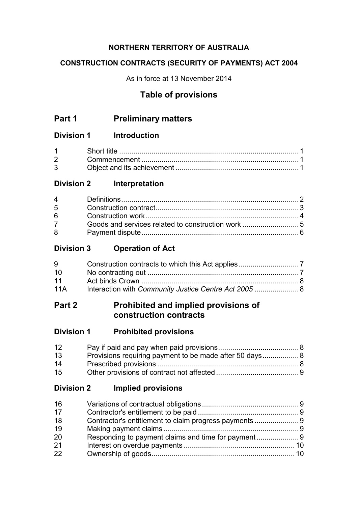# **NORTHERN TERRITORY OF AUSTRALIA**

# **CONSTRUCTION CONTRACTS (SECURITY OF PAYMENTS) ACT 2004**

As in force at 13 November 2014

# **Table of provisions**

# **Part 1 Preliminary matters**

# **Division 1 Introduction**

| $1 \quad \blacksquare$         |  |
|--------------------------------|--|
| $2 \left( \frac{1}{2} \right)$ |  |
| $3^{\circ}$                    |  |

# **Division 2 Interpretation**

| $\overline{4}$ |  |
|----------------|--|
|                |  |
|                |  |
|                |  |
|                |  |
|                |  |

# **Division 3 Operation of Act**

| 9               |  |
|-----------------|--|
| 10 <sup>1</sup> |  |
| 11              |  |
| 11A             |  |

# **Part 2 Prohibited and implied provisions of construction contracts**

| <b>Division 1</b> |  | <b>Prohibited provisions</b> |
|-------------------|--|------------------------------|
|-------------------|--|------------------------------|

| 12 |  |
|----|--|
| 13 |  |
| 14 |  |
| 15 |  |

# **Division 2 Implied provisions**

| 16 |  |
|----|--|
| 17 |  |
| 18 |  |
| 19 |  |
| 20 |  |
| 21 |  |
| 22 |  |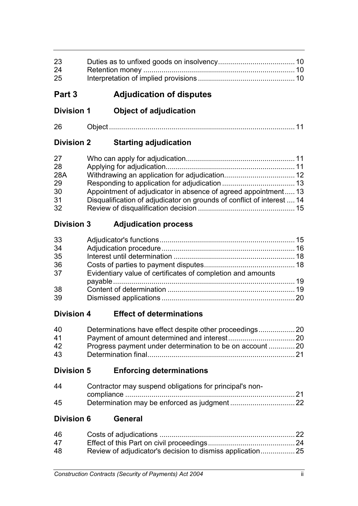| 23<br>24          |                                                                        |    |
|-------------------|------------------------------------------------------------------------|----|
| 25                |                                                                        |    |
| Part 3            | <b>Adjudication of disputes</b>                                        |    |
| <b>Division 1</b> | <b>Object of adjudication</b>                                          |    |
| 26                |                                                                        |    |
| <b>Division 2</b> | <b>Starting adjudication</b>                                           |    |
| 27                |                                                                        |    |
| 28                |                                                                        |    |
| 28A               |                                                                        |    |
| 29                |                                                                        |    |
| 30                | Appointment of adjudicator in absence of agreed appointment 13         |    |
| 31                | Disqualification of adjudicator on grounds of conflict of interest  14 |    |
| 32                |                                                                        |    |
| <b>Division 3</b> | <b>Adjudication process</b>                                            |    |
| 33                |                                                                        |    |
| 34                |                                                                        |    |
| 35                |                                                                        |    |
| 36                |                                                                        |    |
| 37                | Evidentiary value of certificates of completion and amounts            |    |
| 38                |                                                                        |    |
| 39                |                                                                        |    |
| <b>Division 4</b> | <b>Effect of determinations</b>                                        |    |
| 40                |                                                                        |    |
| 41                |                                                                        |    |
| 42                | Progress payment under determination to be on account  20              |    |
| 43                |                                                                        |    |
| <b>Division 5</b> | <b>Enforcing determinations</b>                                        |    |
| 44                | Contractor may suspend obligations for principal's non-                |    |
| 45                |                                                                        |    |
| <b>Division 6</b> | <b>General</b>                                                         |    |
| 46                |                                                                        |    |
| 47                |                                                                        |    |
| 48                | Review of adjudicator's decision to dismiss application 25             |    |
|                   | <b>Construction Contracts (Security of Payments) Act 2004</b>          | ii |
|                   |                                                                        |    |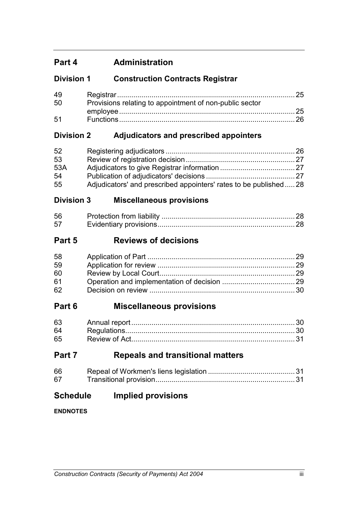# **Part 4 Administration**

# **Division 1 Construction Contracts Registrar**

| -49 |                                                         |  |
|-----|---------------------------------------------------------|--|
| 50  | Provisions relating to appointment of non-public sector |  |
|     |                                                         |  |
| .51 |                                                         |  |

# **Division 2 Adjudicators and prescribed appointers**

| 52  |                                                                    |  |
|-----|--------------------------------------------------------------------|--|
| 53  |                                                                    |  |
| 53A |                                                                    |  |
| 54  |                                                                    |  |
| 55  | Adjudicators' and prescribed appointers' rates to be published  28 |  |

# **Division 3 Miscellaneous provisions**

| .56 |  |
|-----|--|
| .57 |  |

# **Part 5 Reviews of decisions**

| 58 |  |
|----|--|
| 59 |  |
| 60 |  |
| 61 |  |
| 62 |  |

# **Part 6 Miscellaneous provisions**

| 63 |  |
|----|--|
| 64 |  |
| 65 |  |

# **Part 7 Repeals and transitional matters**

| 66 |  |
|----|--|
| 67 |  |

# **Schedule Implied provisions**

**ENDNOTES**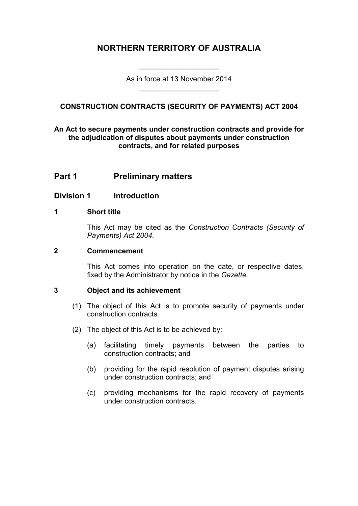# **NORTHERN TERRITORY OF AUSTRALIA**

As in force at 13 November 2014 \_\_\_\_\_\_\_\_\_\_\_\_\_\_\_\_\_\_\_\_

\_\_\_\_\_\_\_\_\_\_\_\_\_\_\_\_\_\_\_\_

# **CONSTRUCTION CONTRACTS (SECURITY OF PAYMENTS) ACT 2004**

## **An Act to secure payments under construction contracts and provide for the adjudication of disputes about payments under construction contracts, and for related purposes**

# **Part 1 Preliminary matters**

# **Division 1 Introduction**

#### **1 Short title**

This Act may be cited as the *Construction Contracts (Security of Payments) Act 2004*.

#### **2 Commencement**

This Act comes into operation on the date, or respective dates, fixed by the Administrator by notice in the *Gazette*.

## **3 Object and its achievement**

- (1) The object of this Act is to promote security of payments under construction contracts.
- (2) The object of this Act is to be achieved by:
	- (a) facilitating timely payments between the parties to construction contracts; and
	- (b) providing for the rapid resolution of payment disputes arising under construction contracts; and
	- (c) providing mechanisms for the rapid recovery of payments under construction contracts.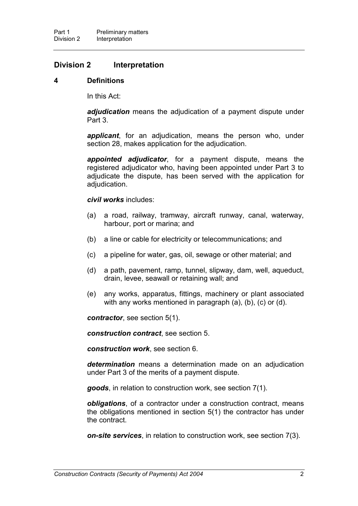## **Division 2 Interpretation**

#### **4 Definitions**

In this Act:

*adjudication* means the adjudication of a payment dispute under Part 3.

*applicant*, for an adjudication, means the person who, under section 28, makes application for the adjudication.

*appointed adjudicator*, for a payment dispute, means the registered adjudicator who, having been appointed under Part 3 to adjudicate the dispute, has been served with the application for adjudication.

#### *civil works* includes:

- (a) a road, railway, tramway, aircraft runway, canal, waterway, harbour, port or marina; and
- (b) a line or cable for electricity or telecommunications; and
- (c) a pipeline for water, gas, oil, sewage or other material; and
- (d) a path, pavement, ramp, tunnel, slipway, dam, well, aqueduct, drain, levee, seawall or retaining wall; and
- (e) any works, apparatus, fittings, machinery or plant associated with any works mentioned in paragraph (a), (b), (c) or (d).

*contractor*, see section 5(1).

*construction contract*, see section 5.

*construction work*, see section 6.

*determination* means a determination made on an adjudication under Part 3 of the merits of a payment dispute.

*goods*, in relation to construction work, see section 7(1).

*obligations*, of a contractor under a construction contract, means the obligations mentioned in section 5(1) the contractor has under the contract.

*on-site services*, in relation to construction work, see section 7(3).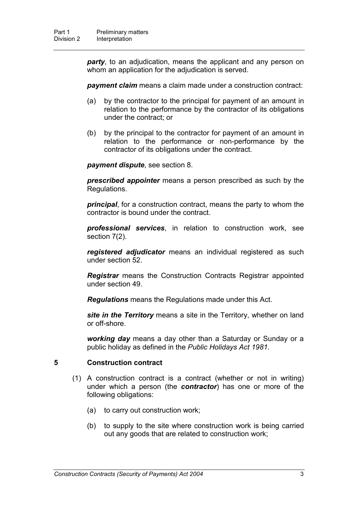*party*, to an adjudication, means the applicant and any person on whom an application for the adjudication is served.

**payment claim** means a claim made under a construction contract:

- (a) by the contractor to the principal for payment of an amount in relation to the performance by the contractor of its obligations under the contract; or
- (b) by the principal to the contractor for payment of an amount in relation to the performance or non-performance by the contractor of its obligations under the contract.

*payment dispute*, see section 8.

*prescribed appointer* means a person prescribed as such by the Regulations.

*principal*, for a construction contract, means the party to whom the contractor is bound under the contract.

*professional services*, in relation to construction work, see section 7(2).

*registered adjudicator* means an individual registered as such under section 52.

*Registrar* means the Construction Contracts Registrar appointed under section 49.

*Regulations* means the Regulations made under this Act.

*site in the Territory* means a site in the Territory, whether on land or off-shore.

*working day* means a day other than a Saturday or Sunday or a public holiday as defined in the *Public Holidays Act 1981*.

## **5 Construction contract**

- (1) A construction contract is a contract (whether or not in writing) under which a person (the *contractor*) has one or more of the following obligations:
	- (a) to carry out construction work;
	- (b) to supply to the site where construction work is being carried out any goods that are related to construction work;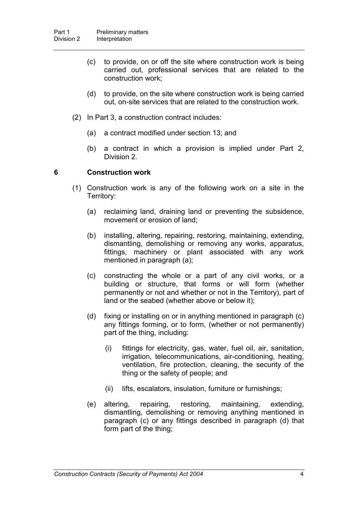- (c) to provide, on or off the site where construction work is being carried out, professional services that are related to the construction work;
- (d) to provide, on the site where construction work is being carried out, on-site services that are related to the construction work.
- (2) In Part 3, a construction contract includes:
	- (a) a contract modified under section 13; and
	- (b) a contract in which a provision is implied under Part 2, Division 2.

#### **6 Construction work**

- (1) Construction work is any of the following work on a site in the Territory:
	- (a) reclaiming land, draining land or preventing the subsidence, movement or erosion of land;
	- (b) installing, altering, repairing, restoring, maintaining, extending, dismantling, demolishing or removing any works, apparatus, fittings, machinery or plant associated with any work mentioned in paragraph (a);
	- (c) constructing the whole or a part of any civil works, or a building or structure, that forms or will form (whether permanently or not and whether or not in the Territory), part of land or the seabed (whether above or below it);
	- (d) fixing or installing on or in anything mentioned in paragraph (c) any fittings forming, or to form, (whether or not permanently) part of the thing, including:
		- (i) fittings for electricity, gas, water, fuel oil, air, sanitation, irrigation, telecommunications, air-conditioning, heating, ventilation, fire protection, cleaning, the security of the thing or the safety of people; and
		- (ii) lifts, escalators, insulation, furniture or furnishings;
	- (e) altering, repairing, restoring, maintaining, extending, dismantling, demolishing or removing anything mentioned in paragraph (c) or any fittings described in paragraph (d) that form part of the thing;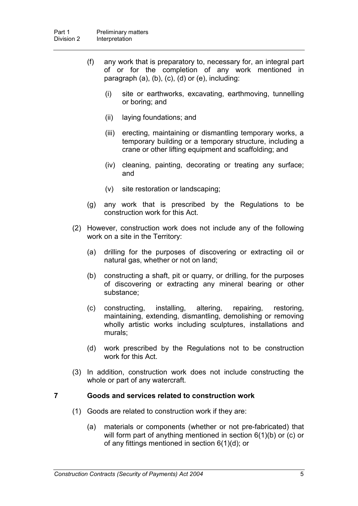- (f) any work that is preparatory to, necessary for, an integral part of or for the completion of any work mentioned in paragraph (a), (b), (c), (d) or (e), including:
	- (i) site or earthworks, excavating, earthmoving, tunnelling or boring; and
	- (ii) laying foundations; and
	- (iii) erecting, maintaining or dismantling temporary works, a temporary building or a temporary structure, including a crane or other lifting equipment and scaffolding; and
	- (iv) cleaning, painting, decorating or treating any surface; and
	- (v) site restoration or landscaping;
- (g) any work that is prescribed by the Regulations to be construction work for this Act.
- (2) However, construction work does not include any of the following work on a site in the Territory:
	- (a) drilling for the purposes of discovering or extracting oil or natural gas, whether or not on land;
	- (b) constructing a shaft, pit or quarry, or drilling, for the purposes of discovering or extracting any mineral bearing or other substance;
	- (c) constructing, installing, altering, repairing, restoring, maintaining, extending, dismantling, demolishing or removing wholly artistic works including sculptures, installations and murals;
	- (d) work prescribed by the Regulations not to be construction work for this Act.
- (3) In addition, construction work does not include constructing the whole or part of any watercraft.

#### **7 Goods and services related to construction work**

- (1) Goods are related to construction work if they are:
	- (a) materials or components (whether or not pre-fabricated) that will form part of anything mentioned in section 6(1)(b) or (c) or of any fittings mentioned in section 6(1)(d); or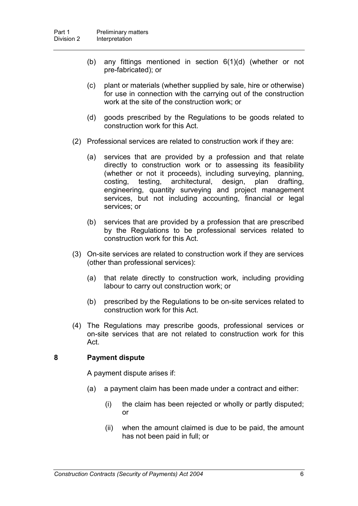- (b) any fittings mentioned in section 6(1)(d) (whether or not pre-fabricated); or
- (c) plant or materials (whether supplied by sale, hire or otherwise) for use in connection with the carrying out of the construction work at the site of the construction work; or
- (d) goods prescribed by the Regulations to be goods related to construction work for this Act.
- (2) Professional services are related to construction work if they are:
	- (a) services that are provided by a profession and that relate directly to construction work or to assessing its feasibility (whether or not it proceeds), including surveying, planning, costing, testing, architectural, design, plan drafting, engineering, quantity surveying and project management services, but not including accounting, financial or legal services; or
	- (b) services that are provided by a profession that are prescribed by the Regulations to be professional services related to construction work for this Act.
- (3) On-site services are related to construction work if they are services (other than professional services):
	- (a) that relate directly to construction work, including providing labour to carry out construction work; or
	- (b) prescribed by the Regulations to be on-site services related to construction work for this Act.
- (4) The Regulations may prescribe goods, professional services or on-site services that are not related to construction work for this Act.

## **8 Payment dispute**

A payment dispute arises if:

- (a) a payment claim has been made under a contract and either:
	- (i) the claim has been rejected or wholly or partly disputed; or
	- (ii) when the amount claimed is due to be paid, the amount has not been paid in full; or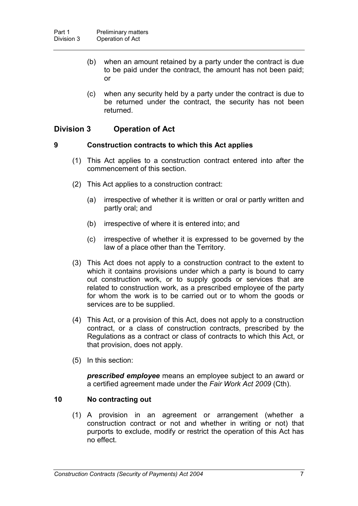- (b) when an amount retained by a party under the contract is due to be paid under the contract, the amount has not been paid; or
- (c) when any security held by a party under the contract is due to be returned under the contract, the security has not been returned.

# **Division 3 Operation of Act**

## **9 Construction contracts to which this Act applies**

- (1) This Act applies to a construction contract entered into after the commencement of this section.
- (2) This Act applies to a construction contract:
	- (a) irrespective of whether it is written or oral or partly written and partly oral; and
	- (b) irrespective of where it is entered into; and
	- (c) irrespective of whether it is expressed to be governed by the law of a place other than the Territory.
- (3) This Act does not apply to a construction contract to the extent to which it contains provisions under which a party is bound to carry out construction work, or to supply goods or services that are related to construction work, as a prescribed employee of the party for whom the work is to be carried out or to whom the goods or services are to be supplied.
- (4) This Act, or a provision of this Act, does not apply to a construction contract, or a class of construction contracts, prescribed by the Regulations as a contract or class of contracts to which this Act, or that provision, does not apply.
- (5) In this section:

*prescribed employee* means an employee subject to an award or a certified agreement made under the *Fair Work Act 2009* (Cth).

# **10 No contracting out**

(1) A provision in an agreement or arrangement (whether a construction contract or not and whether in writing or not) that purports to exclude, modify or restrict the operation of this Act has no effect.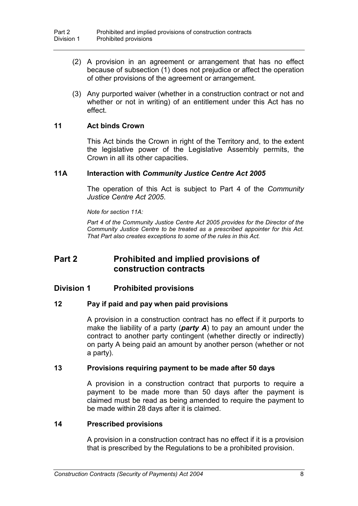- (2) A provision in an agreement or arrangement that has no effect because of subsection (1) does not prejudice or affect the operation of other provisions of the agreement or arrangement.
- (3) Any purported waiver (whether in a construction contract or not and whether or not in writing) of an entitlement under this Act has no effect.

## **11 Act binds Crown**

This Act binds the Crown in right of the Territory and, to the extent the legislative power of the Legislative Assembly permits, the Crown in all its other capacities.

## **11A Interaction with** *Community Justice Centre Act 2005*

The operation of this Act is subject to Part 4 of the *Community Justice Centre Act 2005*.

*Note for section 11A:*

*Part 4 of the Community Justice Centre Act 2005 provides for the Director of the Community Justice Centre to be treated as a prescribed appointer for this Act. That Part also creates exceptions to some of the rules in this Act.*

# **Part 2 Prohibited and implied provisions of construction contracts**

# **Division 1 Prohibited provisions**

## **12 Pay if paid and pay when paid provisions**

A provision in a construction contract has no effect if it purports to make the liability of a party (*party A*) to pay an amount under the contract to another party contingent (whether directly or indirectly) on party A being paid an amount by another person (whether or not a party).

## **13 Provisions requiring payment to be made after 50 days**

A provision in a construction contract that purports to require a payment to be made more than 50 days after the payment is claimed must be read as being amended to require the payment to be made within 28 days after it is claimed.

## **14 Prescribed provisions**

A provision in a construction contract has no effect if it is a provision that is prescribed by the Regulations to be a prohibited provision.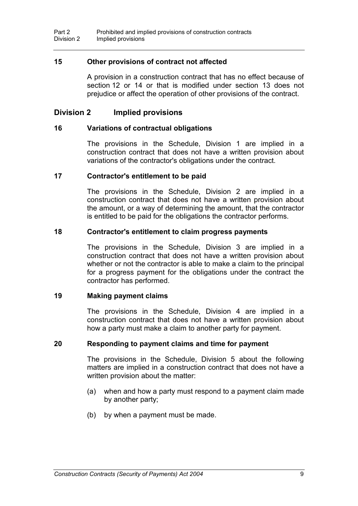## **15 Other provisions of contract not affected**

A provision in a construction contract that has no effect because of section 12 or 14 or that is modified under section 13 does not prejudice or affect the operation of other provisions of the contract.

## **Division 2 Implied provisions**

#### **16 Variations of contractual obligations**

The provisions in the Schedule, Division 1 are implied in a construction contract that does not have a written provision about variations of the contractor's obligations under the contract.

#### **17 Contractor's entitlement to be paid**

The provisions in the Schedule, Division 2 are implied in a construction contract that does not have a written provision about the amount, or a way of determining the amount, that the contractor is entitled to be paid for the obligations the contractor performs.

#### **18 Contractor's entitlement to claim progress payments**

The provisions in the Schedule, Division 3 are implied in a construction contract that does not have a written provision about whether or not the contractor is able to make a claim to the principal for a progress payment for the obligations under the contract the contractor has performed.

#### **19 Making payment claims**

The provisions in the Schedule, Division 4 are implied in a construction contract that does not have a written provision about how a party must make a claim to another party for payment.

#### **20 Responding to payment claims and time for payment**

The provisions in the Schedule, Division 5 about the following matters are implied in a construction contract that does not have a written provision about the matter:

- (a) when and how a party must respond to a payment claim made by another party;
- (b) by when a payment must be made.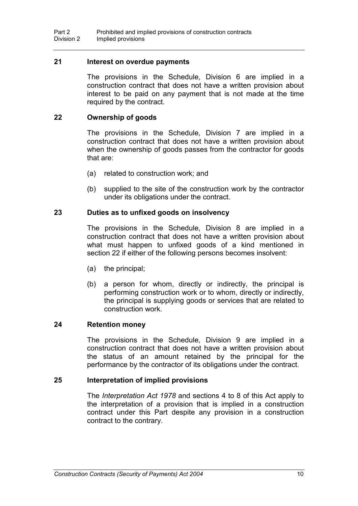#### **21 Interest on overdue payments**

The provisions in the Schedule, Division 6 are implied in a construction contract that does not have a written provision about interest to be paid on any payment that is not made at the time required by the contract.

#### **22 Ownership of goods**

The provisions in the Schedule, Division 7 are implied in a construction contract that does not have a written provision about when the ownership of goods passes from the contractor for goods that are:

- (a) related to construction work; and
- (b) supplied to the site of the construction work by the contractor under its obligations under the contract.

#### **23 Duties as to unfixed goods on insolvency**

The provisions in the Schedule, Division 8 are implied in a construction contract that does not have a written provision about what must happen to unfixed goods of a kind mentioned in section 22 if either of the following persons becomes insolvent:

- (a) the principal;
- (b) a person for whom, directly or indirectly, the principal is performing construction work or to whom, directly or indirectly, the principal is supplying goods or services that are related to construction work.

#### **24 Retention money**

The provisions in the Schedule, Division 9 are implied in a construction contract that does not have a written provision about the status of an amount retained by the principal for the performance by the contractor of its obligations under the contract.

#### **25 Interpretation of implied provisions**

The *Interpretation Act 1978* and sections 4 to 8 of this Act apply to the interpretation of a provision that is implied in a construction contract under this Part despite any provision in a construction contract to the contrary.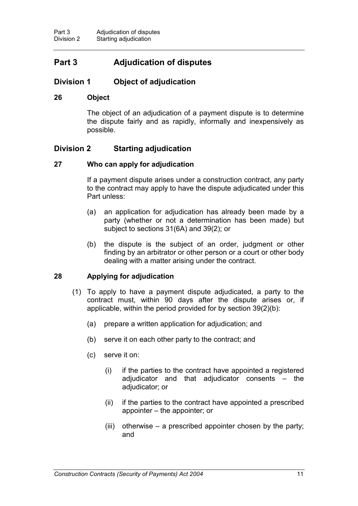# **Part 3 Adjudication of disputes**

# **Division 1 Object of adjudication**

## **26 Object**

The object of an adjudication of a payment dispute is to determine the dispute fairly and as rapidly, informally and inexpensively as possible.

# **Division 2 Starting adjudication**

## **27 Who can apply for adjudication**

If a payment dispute arises under a construction contract, any party to the contract may apply to have the dispute adjudicated under this Part unless:

- (a) an application for adjudication has already been made by a party (whether or not a determination has been made) but subject to sections 31(6A) and 39(2); or
- (b) the dispute is the subject of an order, judgment or other finding by an arbitrator or other person or a court or other body dealing with a matter arising under the contract.

## **28 Applying for adjudication**

- (1) To apply to have a payment dispute adjudicated, a party to the contract must, within 90 days after the dispute arises or, if applicable, within the period provided for by section 39(2)(b):
	- (a) prepare a written application for adjudication; and
	- (b) serve it on each other party to the contract; and
	- (c) serve it on:
		- (i) if the parties to the contract have appointed a registered adjudicator and that adjudicator consents – the adjudicator; or
		- (ii) if the parties to the contract have appointed a prescribed appointer – the appointer; or
		- (iii) otherwise a prescribed appointer chosen by the party; and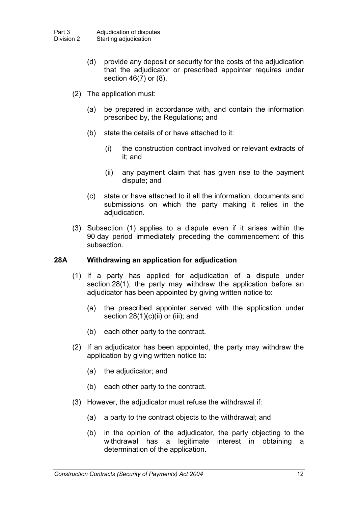- (d) provide any deposit or security for the costs of the adjudication that the adjudicator or prescribed appointer requires under section 46(7) or (8).
- (2) The application must:
	- (a) be prepared in accordance with, and contain the information prescribed by, the Regulations; and
	- (b) state the details of or have attached to it:
		- (i) the construction contract involved or relevant extracts of it; and
		- (ii) any payment claim that has given rise to the payment dispute; and
	- (c) state or have attached to it all the information, documents and submissions on which the party making it relies in the adjudication.
- (3) Subsection (1) applies to a dispute even if it arises within the 90 day period immediately preceding the commencement of this subsection.

## **28A Withdrawing an application for adjudication**

- (1) If a party has applied for adjudication of a dispute under section 28(1), the party may withdraw the application before an adjudicator has been appointed by giving written notice to:
	- (a) the prescribed appointer served with the application under section  $28(1)(c)(ii)$  or (iii); and
	- (b) each other party to the contract.
- (2) If an adjudicator has been appointed, the party may withdraw the application by giving written notice to:
	- (a) the adjudicator; and
	- (b) each other party to the contract.
- (3) However, the adjudicator must refuse the withdrawal if:
	- (a) a party to the contract objects to the withdrawal; and
	- (b) in the opinion of the adjudicator, the party objecting to the withdrawal has a legitimate interest in obtaining a determination of the application.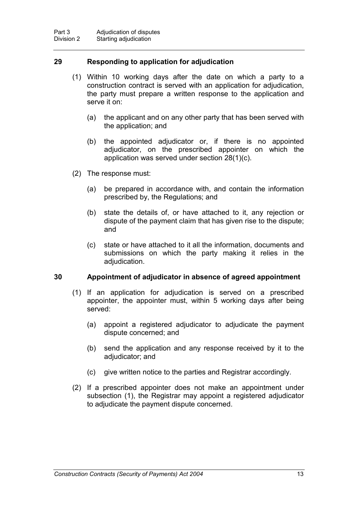## **29 Responding to application for adjudication**

- (1) Within 10 working days after the date on which a party to a construction contract is served with an application for adjudication, the party must prepare a written response to the application and serve it on:
	- (a) the applicant and on any other party that has been served with the application; and
	- (b) the appointed adjudicator or, if there is no appointed adjudicator, on the prescribed appointer on which the application was served under section 28(1)(c).
- (2) The response must:
	- (a) be prepared in accordance with, and contain the information prescribed by, the Regulations; and
	- (b) state the details of, or have attached to it, any rejection or dispute of the payment claim that has given rise to the dispute; and
	- (c) state or have attached to it all the information, documents and submissions on which the party making it relies in the adjudication.

## **30 Appointment of adjudicator in absence of agreed appointment**

- (1) If an application for adjudication is served on a prescribed appointer, the appointer must, within 5 working days after being served:
	- (a) appoint a registered adjudicator to adjudicate the payment dispute concerned; and
	- (b) send the application and any response received by it to the adjudicator; and
	- (c) give written notice to the parties and Registrar accordingly.
- (2) If a prescribed appointer does not make an appointment under subsection (1), the Registrar may appoint a registered adjudicator to adjudicate the payment dispute concerned.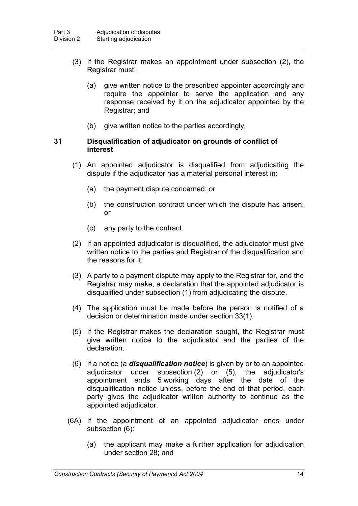- (3) If the Registrar makes an appointment under subsection (2), the Registrar must:
	- (a) give written notice to the prescribed appointer accordingly and require the appointer to serve the application and any response received by it on the adjudicator appointed by the Registrar; and
	- (b) give written notice to the parties accordingly.

#### **31 Disqualification of adjudicator on grounds of conflict of interest**

- (1) An appointed adjudicator is disqualified from adjudicating the dispute if the adjudicator has a material personal interest in:
	- (a) the payment dispute concerned; or
	- (b) the construction contract under which the dispute has arisen; or
	- (c) any party to the contract.
- (2) If an appointed adjudicator is disqualified, the adjudicator must give written notice to the parties and Registrar of the disqualification and the reasons for it.
- (3) A party to a payment dispute may apply to the Registrar for, and the Registrar may make, a declaration that the appointed adjudicator is disqualified under subsection (1) from adjudicating the dispute.
- (4) The application must be made before the person is notified of a decision or determination made under section 33(1).
- (5) If the Registrar makes the declaration sought, the Registrar must give written notice to the adjudicator and the parties of the declaration.
- (6) If a notice (a *disqualification notice*) is given by or to an appointed adjudicator under subsection (2) or (5), the adjudicator's appointment ends 5 working days after the date of the disqualification notice unless, before the end of that period, each party gives the adjudicator written authority to continue as the appointed adjudicator.
- (6A) If the appointment of an appointed adjudicator ends under subsection (6):
	- (a) the applicant may make a further application for adjudication under section 28; and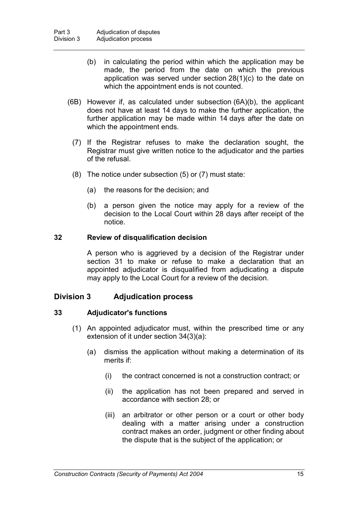- (b) in calculating the period within which the application may be made, the period from the date on which the previous application was served under section 28(1)(c) to the date on which the appointment ends is not counted.
- (6B) However if, as calculated under subsection (6A)(b), the applicant does not have at least 14 days to make the further application, the further application may be made within 14 days after the date on which the appointment ends.
	- (7) If the Registrar refuses to make the declaration sought, the Registrar must give written notice to the adjudicator and the parties of the refusal.
	- (8) The notice under subsection (5) or (7) must state:
		- (a) the reasons for the decision; and
		- (b) a person given the notice may apply for a review of the decision to the Local Court within 28 days after receipt of the notice.

#### **32 Review of disqualification decision**

A person who is aggrieved by a decision of the Registrar under section 31 to make or refuse to make a declaration that an appointed adjudicator is disqualified from adjudicating a dispute may apply to the Local Court for a review of the decision.

## **Division 3 Adjudication process**

## **33 Adjudicator's functions**

- (1) An appointed adjudicator must, within the prescribed time or any extension of it under section 34(3)(a):
	- (a) dismiss the application without making a determination of its merits if:
		- (i) the contract concerned is not a construction contract; or
		- (ii) the application has not been prepared and served in accordance with section 28; or
		- (iii) an arbitrator or other person or a court or other body dealing with a matter arising under a construction contract makes an order, judgment or other finding about the dispute that is the subject of the application; or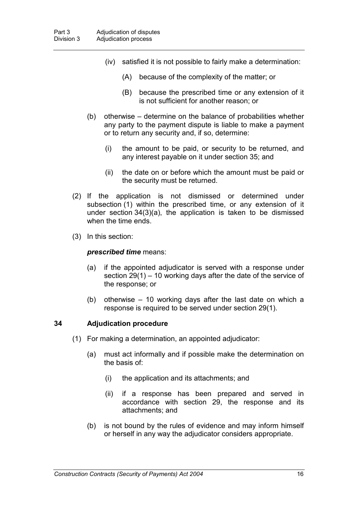- (iv) satisfied it is not possible to fairly make a determination:
	- (A) because of the complexity of the matter; or
	- (B) because the prescribed time or any extension of it is not sufficient for another reason; or
- (b) otherwise determine on the balance of probabilities whether any party to the payment dispute is liable to make a payment or to return any security and, if so, determine:
	- (i) the amount to be paid, or security to be returned, and any interest payable on it under section 35; and
	- (ii) the date on or before which the amount must be paid or the security must be returned.
- (2) If the application is not dismissed or determined under subsection (1) within the prescribed time, or any extension of it under section 34(3)(a), the application is taken to be dismissed when the time ends.
- (3) In this section:

#### *prescribed time* means:

- (a) if the appointed adjudicator is served with a response under section 29(1) – 10 working days after the date of the service of the response; or
- (b) otherwise 10 working days after the last date on which a response is required to be served under section 29(1).

#### **34 Adjudication procedure**

- (1) For making a determination, an appointed adjudicator:
	- (a) must act informally and if possible make the determination on the basis of:
		- (i) the application and its attachments; and
		- (ii) if a response has been prepared and served in accordance with section 29, the response and its attachments; and
	- (b) is not bound by the rules of evidence and may inform himself or herself in any way the adjudicator considers appropriate.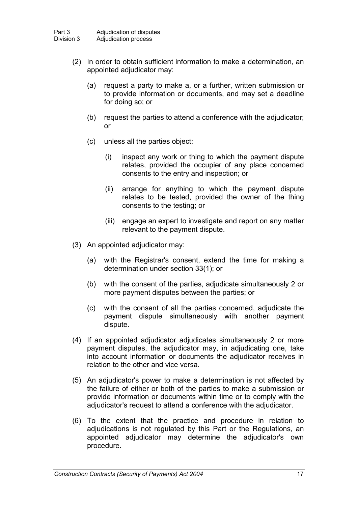- (2) In order to obtain sufficient information to make a determination, an appointed adjudicator may:
	- (a) request a party to make a, or a further, written submission or to provide information or documents, and may set a deadline for doing so; or
	- (b) request the parties to attend a conference with the adjudicator; or
	- (c) unless all the parties object:
		- (i) inspect any work or thing to which the payment dispute relates, provided the occupier of any place concerned consents to the entry and inspection; or
		- (ii) arrange for anything to which the payment dispute relates to be tested, provided the owner of the thing consents to the testing; or
		- (iii) engage an expert to investigate and report on any matter relevant to the payment dispute.
- (3) An appointed adjudicator may:
	- (a) with the Registrar's consent, extend the time for making a determination under section 33(1); or
	- (b) with the consent of the parties, adjudicate simultaneously 2 or more payment disputes between the parties; or
	- (c) with the consent of all the parties concerned, adjudicate the payment dispute simultaneously with another payment dispute.
- (4) If an appointed adjudicator adjudicates simultaneously 2 or more payment disputes, the adjudicator may, in adjudicating one, take into account information or documents the adjudicator receives in relation to the other and vice versa.
- (5) An adjudicator's power to make a determination is not affected by the failure of either or both of the parties to make a submission or provide information or documents within time or to comply with the adjudicator's request to attend a conference with the adjudicator.
- (6) To the extent that the practice and procedure in relation to adjudications is not regulated by this Part or the Regulations, an appointed adjudicator may determine the adjudicator's own procedure.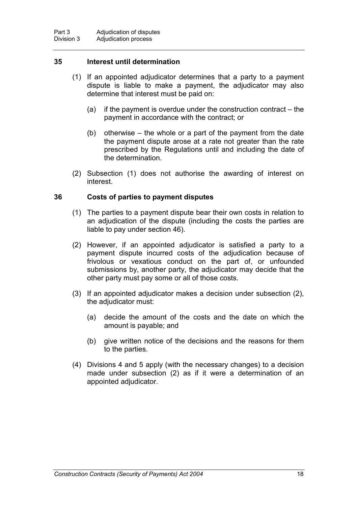## **35 Interest until determination**

- (1) If an appointed adjudicator determines that a party to a payment dispute is liable to make a payment, the adjudicator may also determine that interest must be paid on:
	- (a) if the payment is overdue under the construction contract the payment in accordance with the contract; or
	- (b) otherwise the whole or a part of the payment from the date the payment dispute arose at a rate not greater than the rate prescribed by the Regulations until and including the date of the determination.
- (2) Subsection (1) does not authorise the awarding of interest on interest.

## **36 Costs of parties to payment disputes**

- (1) The parties to a payment dispute bear their own costs in relation to an adjudication of the dispute (including the costs the parties are liable to pay under section 46).
- (2) However, if an appointed adjudicator is satisfied a party to a payment dispute incurred costs of the adjudication because of frivolous or vexatious conduct on the part of, or unfounded submissions by, another party, the adjudicator may decide that the other party must pay some or all of those costs.
- (3) If an appointed adjudicator makes a decision under subsection (2), the adjudicator must:
	- (a) decide the amount of the costs and the date on which the amount is payable; and
	- (b) give written notice of the decisions and the reasons for them to the parties.
- (4) Divisions 4 and 5 apply (with the necessary changes) to a decision made under subsection (2) as if it were a determination of an appointed adjudicator.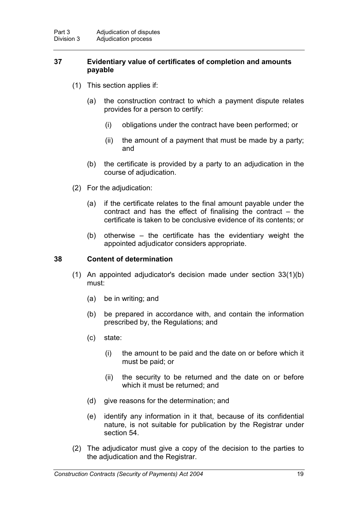## **37 Evidentiary value of certificates of completion and amounts payable**

- (1) This section applies if:
	- (a) the construction contract to which a payment dispute relates provides for a person to certify:
		- (i) obligations under the contract have been performed; or
		- (ii) the amount of a payment that must be made by a party; and
	- (b) the certificate is provided by a party to an adjudication in the course of adjudication.
- (2) For the adjudication:
	- (a) if the certificate relates to the final amount payable under the contract and has the effect of finalising the contract – the certificate is taken to be conclusive evidence of its contents; or
	- (b) otherwise the certificate has the evidentiary weight the appointed adjudicator considers appropriate.

## **38 Content of determination**

- (1) An appointed adjudicator's decision made under section 33(1)(b) must:
	- (a) be in writing; and
	- (b) be prepared in accordance with, and contain the information prescribed by, the Regulations; and
	- (c) state:
		- (i) the amount to be paid and the date on or before which it must be paid; or
		- (ii) the security to be returned and the date on or before which it must be returned; and
	- (d) give reasons for the determination; and
	- (e) identify any information in it that, because of its confidential nature, is not suitable for publication by the Registrar under section 54.
- (2) The adjudicator must give a copy of the decision to the parties to the adjudication and the Registrar.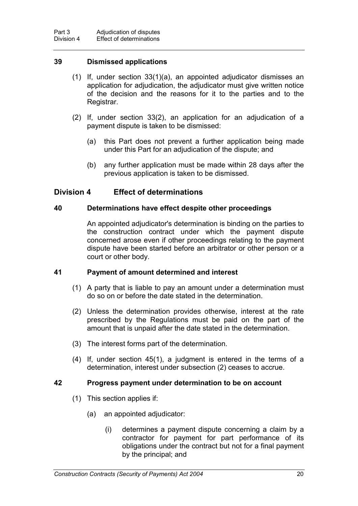## **39 Dismissed applications**

- (1) If, under section 33(1)(a), an appointed adjudicator dismisses an application for adjudication, the adjudicator must give written notice of the decision and the reasons for it to the parties and to the Registrar.
- (2) If, under section 33(2), an application for an adjudication of a payment dispute is taken to be dismissed:
	- (a) this Part does not prevent a further application being made under this Part for an adjudication of the dispute; and
	- (b) any further application must be made within 28 days after the previous application is taken to be dismissed.

# **Division 4 Effect of determinations**

## **40 Determinations have effect despite other proceedings**

An appointed adjudicator's determination is binding on the parties to the construction contract under which the payment dispute concerned arose even if other proceedings relating to the payment dispute have been started before an arbitrator or other person or a court or other body.

## **41 Payment of amount determined and interest**

- (1) A party that is liable to pay an amount under a determination must do so on or before the date stated in the determination.
- (2) Unless the determination provides otherwise, interest at the rate prescribed by the Regulations must be paid on the part of the amount that is unpaid after the date stated in the determination.
- (3) The interest forms part of the determination.
- (4) If, under section 45(1), a judgment is entered in the terms of a determination, interest under subsection (2) ceases to accrue.

#### **42 Progress payment under determination to be on account**

- (1) This section applies if:
	- (a) an appointed adjudicator:
		- (i) determines a payment dispute concerning a claim by a contractor for payment for part performance of its obligations under the contract but not for a final payment by the principal; and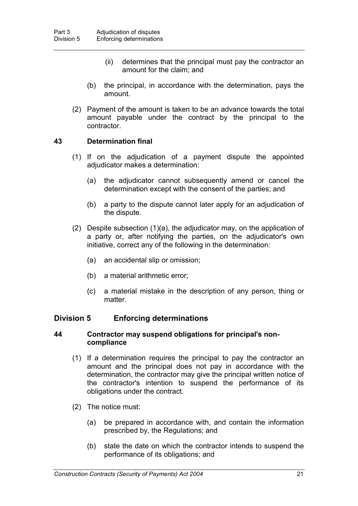- (ii) determines that the principal must pay the contractor an amount for the claim; and
- (b) the principal, in accordance with the determination, pays the amount.
- (2) Payment of the amount is taken to be an advance towards the total amount payable under the contract by the principal to the contractor.

## **43 Determination final**

- (1) If on the adjudication of a payment dispute the appointed adjudicator makes a determination:
	- (a) the adjudicator cannot subsequently amend or cancel the determination except with the consent of the parties; and
	- (b) a party to the dispute cannot later apply for an adjudication of the dispute.
- (2) Despite subsection (1)(a), the adjudicator may, on the application of a party or, after notifying the parties, on the adjudicator's own initiative, correct any of the following in the determination:
	- (a) an accidental slip or omission;
	- (b) a material arithmetic error;
	- (c) a material mistake in the description of any person, thing or matter.

# **Division 5 Enforcing determinations**

## **44 Contractor may suspend obligations for principal's noncompliance**

- (1) If a determination requires the principal to pay the contractor an amount and the principal does not pay in accordance with the determination, the contractor may give the principal written notice of the contractor's intention to suspend the performance of its obligations under the contract.
- (2) The notice must:
	- (a) be prepared in accordance with, and contain the information prescribed by, the Regulations; and
	- (b) state the date on which the contractor intends to suspend the performance of its obligations; and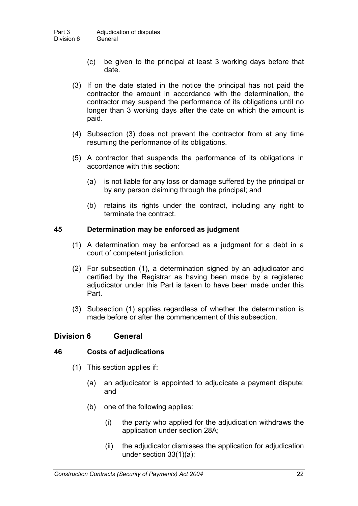- (c) be given to the principal at least 3 working days before that date.
- (3) If on the date stated in the notice the principal has not paid the contractor the amount in accordance with the determination, the contractor may suspend the performance of its obligations until no longer than 3 working days after the date on which the amount is paid.
- (4) Subsection (3) does not prevent the contractor from at any time resuming the performance of its obligations.
- (5) A contractor that suspends the performance of its obligations in accordance with this section:
	- (a) is not liable for any loss or damage suffered by the principal or by any person claiming through the principal; and
	- (b) retains its rights under the contract, including any right to terminate the contract.

## **45 Determination may be enforced as judgment**

- (1) A determination may be enforced as a judgment for a debt in a court of competent jurisdiction.
- (2) For subsection (1), a determination signed by an adjudicator and certified by the Registrar as having been made by a registered adjudicator under this Part is taken to have been made under this Part.
- (3) Subsection (1) applies regardless of whether the determination is made before or after the commencement of this subsection.

# **Division 6 General**

## **46 Costs of adjudications**

- (1) This section applies if:
	- (a) an adjudicator is appointed to adjudicate a payment dispute; and
	- (b) one of the following applies:
		- (i) the party who applied for the adjudication withdraws the application under section 28A;
		- (ii) the adjudicator dismisses the application for adjudication under section 33(1)(a);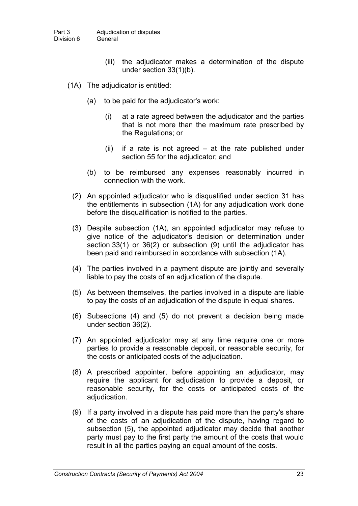- (iii) the adjudicator makes a determination of the dispute under section 33(1)(b).
- (1A) The adjudicator is entitled:
	- (a) to be paid for the adjudicator's work:
		- (i) at a rate agreed between the adjudicator and the parties that is not more than the maximum rate prescribed by the Regulations; or
		- (ii) if a rate is not agreed at the rate published under section 55 for the adjudicator; and
	- (b) to be reimbursed any expenses reasonably incurred in connection with the work.
	- (2) An appointed adjudicator who is disqualified under section 31 has the entitlements in subsection (1A) for any adjudication work done before the disqualification is notified to the parties.
	- (3) Despite subsection (1A), an appointed adjudicator may refuse to give notice of the adjudicator's decision or determination under section 33(1) or 36(2) or subsection (9) until the adjudicator has been paid and reimbursed in accordance with subsection (1A).
	- (4) The parties involved in a payment dispute are jointly and severally liable to pay the costs of an adjudication of the dispute.
	- (5) As between themselves, the parties involved in a dispute are liable to pay the costs of an adjudication of the dispute in equal shares.
	- (6) Subsections (4) and (5) do not prevent a decision being made under section 36(2).
	- (7) An appointed adjudicator may at any time require one or more parties to provide a reasonable deposit, or reasonable security, for the costs or anticipated costs of the adjudication.
	- (8) A prescribed appointer, before appointing an adjudicator, may require the applicant for adjudication to provide a deposit, or reasonable security, for the costs or anticipated costs of the adjudication.
	- (9) If a party involved in a dispute has paid more than the party's share of the costs of an adjudication of the dispute, having regard to subsection (5), the appointed adjudicator may decide that another party must pay to the first party the amount of the costs that would result in all the parties paying an equal amount of the costs.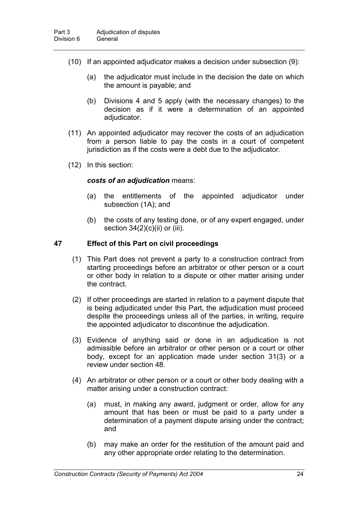- (10) If an appointed adjudicator makes a decision under subsection (9):
	- (a) the adjudicator must include in the decision the date on which the amount is payable; and
	- (b) Divisions 4 and 5 apply (with the necessary changes) to the decision as if it were a determination of an appointed adjudicator.
- (11) An appointed adjudicator may recover the costs of an adjudication from a person liable to pay the costs in a court of competent jurisdiction as if the costs were a debt due to the adjudicator.
- (12) In this section:

#### *costs of an adjudication* means:

- (a) the entitlements of the appointed adjudicator under subsection (1A); and
- (b) the costs of any testing done, or of any expert engaged, under section  $34(2)(c)(ii)$  or (iii).

## **47 Effect of this Part on civil proceedings**

- (1) This Part does not prevent a party to a construction contract from starting proceedings before an arbitrator or other person or a court or other body in relation to a dispute or other matter arising under the contract.
- (2) If other proceedings are started in relation to a payment dispute that is being adjudicated under this Part, the adjudication must proceed despite the proceedings unless all of the parties, in writing, require the appointed adjudicator to discontinue the adjudication.
- (3) Evidence of anything said or done in an adjudication is not admissible before an arbitrator or other person or a court or other body, except for an application made under section 31(3) or a review under section 48.
- (4) An arbitrator or other person or a court or other body dealing with a matter arising under a construction contract:
	- (a) must, in making any award, judgment or order, allow for any amount that has been or must be paid to a party under a determination of a payment dispute arising under the contract; and
	- (b) may make an order for the restitution of the amount paid and any other appropriate order relating to the determination.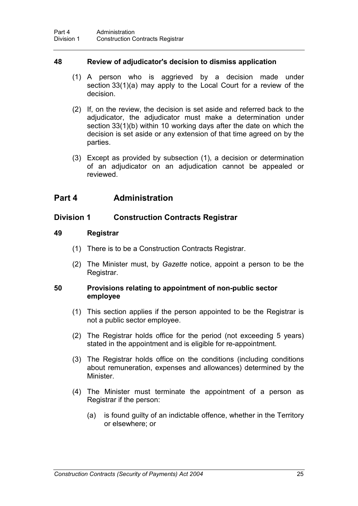## **48 Review of adjudicator's decision to dismiss application**

- (1) A person who is aggrieved by a decision made under section 33(1)(a) may apply to the Local Court for a review of the decision.
- (2) If, on the review, the decision is set aside and referred back to the adjudicator, the adjudicator must make a determination under section 33(1)(b) within 10 working days after the date on which the decision is set aside or any extension of that time agreed on by the parties.
- (3) Except as provided by subsection (1), a decision or determination of an adjudicator on an adjudication cannot be appealed or reviewed.

# **Part 4 Administration**

# **Division 1 Construction Contracts Registrar**

#### **49 Registrar**

- (1) There is to be a Construction Contracts Registrar.
- (2) The Minister must, by *Gazette* notice, appoint a person to be the Registrar.

#### **50 Provisions relating to appointment of non-public sector employee**

- (1) This section applies if the person appointed to be the Registrar is not a public sector employee.
- (2) The Registrar holds office for the period (not exceeding 5 years) stated in the appointment and is eligible for re-appointment.
- (3) The Registrar holds office on the conditions (including conditions about remuneration, expenses and allowances) determined by the Minister.
- (4) The Minister must terminate the appointment of a person as Registrar if the person:
	- (a) is found guilty of an indictable offence, whether in the Territory or elsewhere; or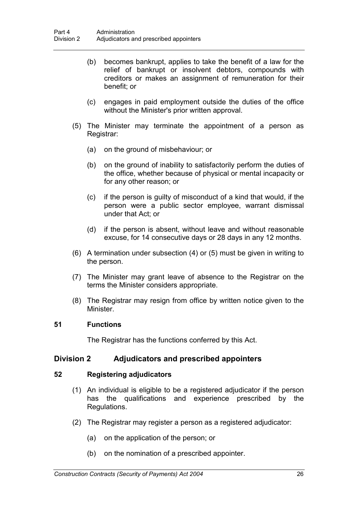- (b) becomes bankrupt, applies to take the benefit of a law for the relief of bankrupt or insolvent debtors, compounds with creditors or makes an assignment of remuneration for their benefit; or
- (c) engages in paid employment outside the duties of the office without the Minister's prior written approval.
- (5) The Minister may terminate the appointment of a person as Registrar:
	- (a) on the ground of misbehaviour; or
	- (b) on the ground of inability to satisfactorily perform the duties of the office, whether because of physical or mental incapacity or for any other reason; or
	- (c) if the person is guilty of misconduct of a kind that would, if the person were a public sector employee, warrant dismissal under that Act; or
	- (d) if the person is absent, without leave and without reasonable excuse, for 14 consecutive days or 28 days in any 12 months.
- (6) A termination under subsection (4) or (5) must be given in writing to the person.
- (7) The Minister may grant leave of absence to the Registrar on the terms the Minister considers appropriate.
- (8) The Registrar may resign from office by written notice given to the Minister.

## **51 Functions**

The Registrar has the functions conferred by this Act.

## **Division 2 Adjudicators and prescribed appointers**

## **52 Registering adjudicators**

- (1) An individual is eligible to be a registered adjudicator if the person has the qualifications and experience prescribed by the Regulations.
- (2) The Registrar may register a person as a registered adjudicator:
	- (a) on the application of the person; or
	- (b) on the nomination of a prescribed appointer.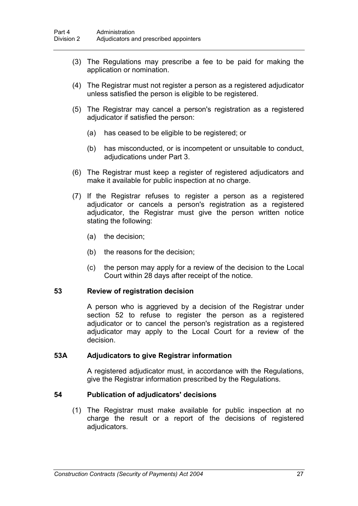- (3) The Regulations may prescribe a fee to be paid for making the application or nomination.
- (4) The Registrar must not register a person as a registered adjudicator unless satisfied the person is eligible to be registered.
- (5) The Registrar may cancel a person's registration as a registered adjudicator if satisfied the person:
	- (a) has ceased to be eligible to be registered; or
	- (b) has misconducted, or is incompetent or unsuitable to conduct, adjudications under Part 3.
- (6) The Registrar must keep a register of registered adjudicators and make it available for public inspection at no charge.
- (7) If the Registrar refuses to register a person as a registered adjudicator or cancels a person's registration as a registered adjudicator, the Registrar must give the person written notice stating the following:
	- (a) the decision;
	- (b) the reasons for the decision;
	- (c) the person may apply for a review of the decision to the Local Court within 28 days after receipt of the notice.

## **53 Review of registration decision**

A person who is aggrieved by a decision of the Registrar under section 52 to refuse to register the person as a registered adjudicator or to cancel the person's registration as a registered adjudicator may apply to the Local Court for a review of the decision.

#### **53A Adjudicators to give Registrar information**

A registered adjudicator must, in accordance with the Regulations, give the Registrar information prescribed by the Regulations.

#### **54 Publication of adjudicators' decisions**

(1) The Registrar must make available for public inspection at no charge the result or a report of the decisions of registered adjudicators.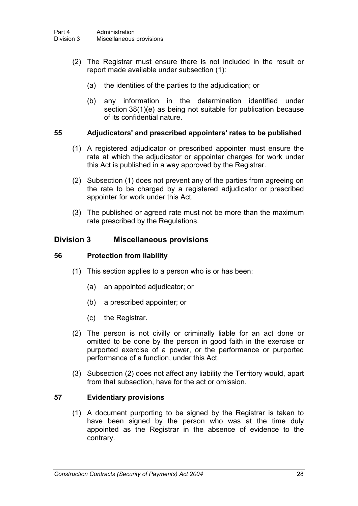- (2) The Registrar must ensure there is not included in the result or report made available under subsection (1):
	- (a) the identities of the parties to the adjudication; or
	- (b) any information in the determination identified under section 38(1)(e) as being not suitable for publication because of its confidential nature.

# **55 Adjudicators' and prescribed appointers' rates to be published**

- (1) A registered adjudicator or prescribed appointer must ensure the rate at which the adjudicator or appointer charges for work under this Act is published in a way approved by the Registrar.
- (2) Subsection (1) does not prevent any of the parties from agreeing on the rate to be charged by a registered adjudicator or prescribed appointer for work under this Act.
- (3) The published or agreed rate must not be more than the maximum rate prescribed by the Regulations.

# **Division 3 Miscellaneous provisions**

## **56 Protection from liability**

- (1) This section applies to a person who is or has been:
	- (a) an appointed adjudicator; or
	- (b) a prescribed appointer; or
	- (c) the Registrar.
- (2) The person is not civilly or criminally liable for an act done or omitted to be done by the person in good faith in the exercise or purported exercise of a power, or the performance or purported performance of a function, under this Act.
- (3) Subsection (2) does not affect any liability the Territory would, apart from that subsection, have for the act or omission.

# **57 Evidentiary provisions**

(1) A document purporting to be signed by the Registrar is taken to have been signed by the person who was at the time duly appointed as the Registrar in the absence of evidence to the contrary.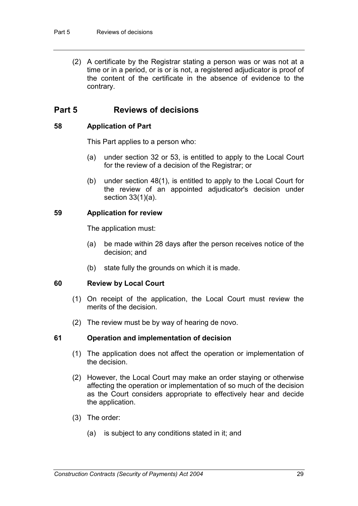(2) A certificate by the Registrar stating a person was or was not at a time or in a period, or is or is not, a registered adjudicator is proof of the content of the certificate in the absence of evidence to the contrary.

# **Part 5 Reviews of decisions**

## **58 Application of Part**

This Part applies to a person who:

- (a) under section 32 or 53, is entitled to apply to the Local Court for the review of a decision of the Registrar; or
- (b) under section 48(1), is entitled to apply to the Local Court for the review of an appointed adjudicator's decision under section 33(1)(a).

## **59 Application for review**

The application must:

- (a) be made within 28 days after the person receives notice of the decision; and
- (b) state fully the grounds on which it is made.

## **60 Review by Local Court**

- (1) On receipt of the application, the Local Court must review the merits of the decision.
- (2) The review must be by way of hearing de novo.

## **61 Operation and implementation of decision**

- (1) The application does not affect the operation or implementation of the decision.
- (2) However, the Local Court may make an order staying or otherwise affecting the operation or implementation of so much of the decision as the Court considers appropriate to effectively hear and decide the application.
- (3) The order:
	- (a) is subject to any conditions stated in it; and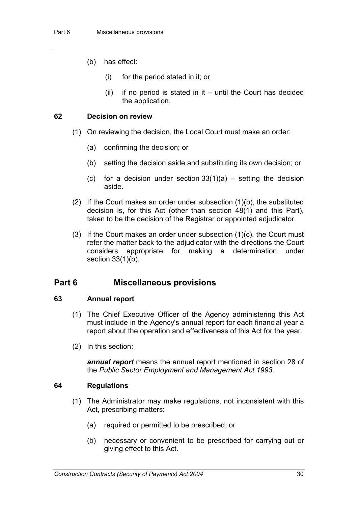- (b) has effect:
	- (i) for the period stated in it; or
	- $(ii)$  if no period is stated in it until the Court has decided the application.

## **62 Decision on review**

- (1) On reviewing the decision, the Local Court must make an order:
	- (a) confirming the decision; or
	- (b) setting the decision aside and substituting its own decision; or
	- (c) for a decision under section  $33(1)(a)$  setting the decision aside.
- (2) If the Court makes an order under subsection (1)(b), the substituted decision is, for this Act (other than section 48(1) and this Part), taken to be the decision of the Registrar or appointed adjudicator.
- (3) If the Court makes an order under subsection (1)(c), the Court must refer the matter back to the adjudicator with the directions the Court considers appropriate for making a determination under section 33(1)(b).

# **Part 6 Miscellaneous provisions**

## **63 Annual report**

- (1) The Chief Executive Officer of the Agency administering this Act must include in the Agency's annual report for each financial year a report about the operation and effectiveness of this Act for the year.
- (2) In this section:

*annual report* means the annual report mentioned in section 28 of the *Public Sector Employment and Management Act 1993*.

## **64 Regulations**

- (1) The Administrator may make regulations, not inconsistent with this Act, prescribing matters:
	- (a) required or permitted to be prescribed; or
	- (b) necessary or convenient to be prescribed for carrying out or giving effect to this Act.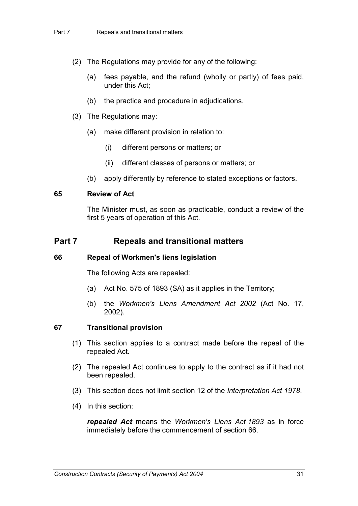- (2) The Regulations may provide for any of the following:
	- (a) fees payable, and the refund (wholly or partly) of fees paid, under this Act;
	- (b) the practice and procedure in adjudications.
- (3) The Regulations may:
	- (a) make different provision in relation to:
		- (i) different persons or matters; or
		- (ii) different classes of persons or matters; or
	- (b) apply differently by reference to stated exceptions or factors.

#### **65 Review of Act**

The Minister must, as soon as practicable, conduct a review of the first 5 years of operation of this Act.

# **Part 7 Repeals and transitional matters**

#### **66 Repeal of Workmen's liens legislation**

The following Acts are repealed:

- (a) Act No. 575 of 1893 (SA) as it applies in the Territory;
- (b) the *Workmen's Liens Amendment Act 2002* (Act No. 17, 2002).

#### **67 Transitional provision**

- (1) This section applies to a contract made before the repeal of the repealed Act.
- (2) The repealed Act continues to apply to the contract as if it had not been repealed.
- (3) This section does not limit section 12 of the *Interpretation Act 1978*.
- (4) In this section:

*repealed Act* means the *Workmen's Liens Act 1893* as in force immediately before the commencement of section 66.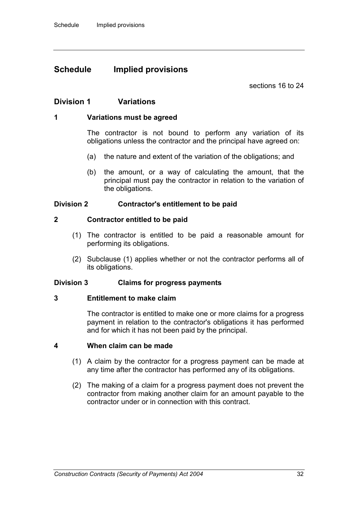# **Schedule Implied provisions**

sections 16 to 24

## **Division 1 Variations**

#### **1 Variations must be agreed**

The contractor is not bound to perform any variation of its obligations unless the contractor and the principal have agreed on:

- (a) the nature and extent of the variation of the obligations; and
- (b) the amount, or a way of calculating the amount, that the principal must pay the contractor in relation to the variation of the obligations.

#### **Division 2 Contractor's entitlement to be paid**

#### **2 Contractor entitled to be paid**

- (1) The contractor is entitled to be paid a reasonable amount for performing its obligations.
- (2) Subclause (1) applies whether or not the contractor performs all of its obligations.

#### **Division 3 Claims for progress payments**

#### **3 Entitlement to make claim**

The contractor is entitled to make one or more claims for a progress payment in relation to the contractor's obligations it has performed and for which it has not been paid by the principal.

#### **4 When claim can be made**

- (1) A claim by the contractor for a progress payment can be made at any time after the contractor has performed any of its obligations.
- (2) The making of a claim for a progress payment does not prevent the contractor from making another claim for an amount payable to the contractor under or in connection with this contract.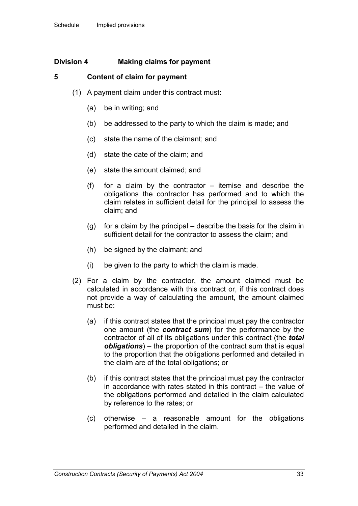## **Division 4 Making claims for payment**

## **5 Content of claim for payment**

- (1) A payment claim under this contract must:
	- (a) be in writing; and
	- (b) be addressed to the party to which the claim is made; and
	- (c) state the name of the claimant; and
	- (d) state the date of the claim; and
	- (e) state the amount claimed; and
	- (f) for a claim by the contractor itemise and describe the obligations the contractor has performed and to which the claim relates in sufficient detail for the principal to assess the claim; and
	- (g) for a claim by the principal describe the basis for the claim in sufficient detail for the contractor to assess the claim; and
	- (h) be signed by the claimant; and
	- (i) be given to the party to which the claim is made.
- (2) For a claim by the contractor, the amount claimed must be calculated in accordance with this contract or, if this contract does not provide a way of calculating the amount, the amount claimed must be:
	- (a) if this contract states that the principal must pay the contractor one amount (the *contract sum*) for the performance by the contractor of all of its obligations under this contract (the *total obligations*) – the proportion of the contract sum that is equal to the proportion that the obligations performed and detailed in the claim are of the total obligations; or
	- (b) if this contract states that the principal must pay the contractor in accordance with rates stated in this contract – the value of the obligations performed and detailed in the claim calculated by reference to the rates; or
	- (c) otherwise a reasonable amount for the obligations performed and detailed in the claim.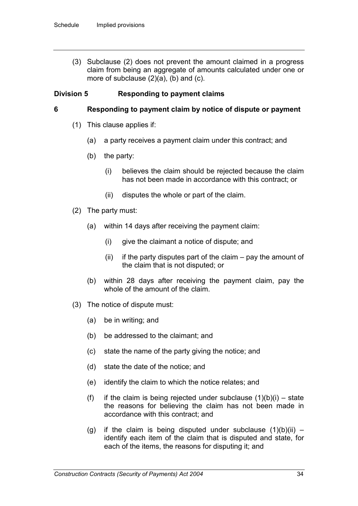(3) Subclause (2) does not prevent the amount claimed in a progress claim from being an aggregate of amounts calculated under one or more of subclause (2)(a), (b) and (c).

## **Division 5 Responding to payment claims**

#### **6 Responding to payment claim by notice of dispute or payment**

- (1) This clause applies if:
	- (a) a party receives a payment claim under this contract; and
	- (b) the party:
		- (i) believes the claim should be rejected because the claim has not been made in accordance with this contract; or
		- (ii) disputes the whole or part of the claim.
- (2) The party must:
	- (a) within 14 days after receiving the payment claim:
		- (i) give the claimant a notice of dispute; and
		- $(ii)$  if the party disputes part of the claim pay the amount of the claim that is not disputed; or
	- (b) within 28 days after receiving the payment claim, pay the whole of the amount of the claim.
- (3) The notice of dispute must:
	- (a) be in writing; and
	- (b) be addressed to the claimant; and
	- (c) state the name of the party giving the notice; and
	- (d) state the date of the notice; and
	- (e) identify the claim to which the notice relates; and
	- (f) if the claim is being rejected under subclause  $(1)(b)(i)$  state the reasons for believing the claim has not been made in accordance with this contract; and
	- (g) if the claim is being disputed under subclause  $(1)(b)(ii)$  identify each item of the claim that is disputed and state, for each of the items, the reasons for disputing it; and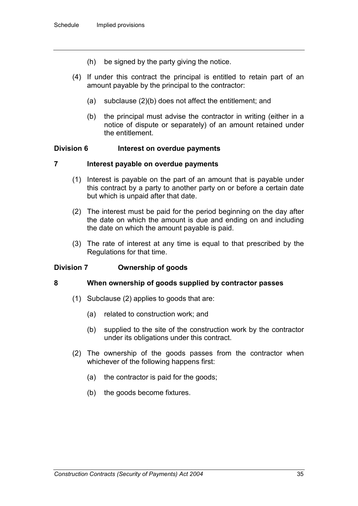- (h) be signed by the party giving the notice.
- (4) If under this contract the principal is entitled to retain part of an amount payable by the principal to the contractor:
	- (a) subclause (2)(b) does not affect the entitlement; and
	- (b) the principal must advise the contractor in writing (either in a notice of dispute or separately) of an amount retained under the entitlement.

#### **Division 6 Interest on overdue payments**

#### **7 Interest payable on overdue payments**

- (1) Interest is payable on the part of an amount that is payable under this contract by a party to another party on or before a certain date but which is unpaid after that date.
- (2) The interest must be paid for the period beginning on the day after the date on which the amount is due and ending on and including the date on which the amount payable is paid.
- (3) The rate of interest at any time is equal to that prescribed by the Regulations for that time.

## **Division 7 Ownership of goods**

#### **8 When ownership of goods supplied by contractor passes**

- (1) Subclause (2) applies to goods that are:
	- (a) related to construction work; and
	- (b) supplied to the site of the construction work by the contractor under its obligations under this contract.
- (2) The ownership of the goods passes from the contractor when whichever of the following happens first:
	- (a) the contractor is paid for the goods;
	- (b) the goods become fixtures.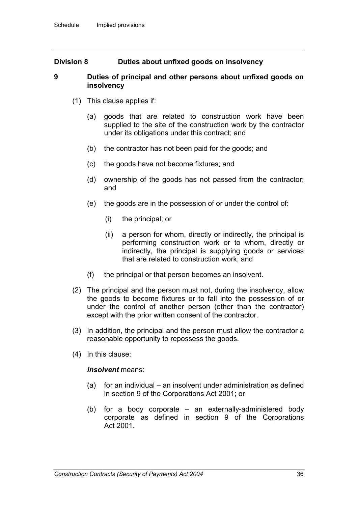## **Division 8 Duties about unfixed goods on insolvency**

#### **9 Duties of principal and other persons about unfixed goods on insolvency**

- (1) This clause applies if:
	- (a) goods that are related to construction work have been supplied to the site of the construction work by the contractor under its obligations under this contract; and
	- (b) the contractor has not been paid for the goods; and
	- (c) the goods have not become fixtures; and
	- (d) ownership of the goods has not passed from the contractor; and
	- (e) the goods are in the possession of or under the control of:
		- (i) the principal; or
		- (ii) a person for whom, directly or indirectly, the principal is performing construction work or to whom, directly or indirectly, the principal is supplying goods or services that are related to construction work; and
	- (f) the principal or that person becomes an insolvent.
- (2) The principal and the person must not, during the insolvency, allow the goods to become fixtures or to fall into the possession of or under the control of another person (other than the contractor) except with the prior written consent of the contractor.
- (3) In addition, the principal and the person must allow the contractor a reasonable opportunity to repossess the goods.
- (4) In this clause:

#### *insolvent* means:

- (a) for an individual an insolvent under administration as defined in section 9 of the Corporations Act 2001; or
- (b) for a body corporate an externally-administered body corporate as defined in section 9 of the Corporations Act 2001.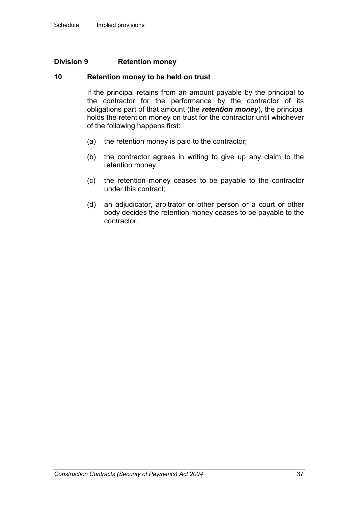#### **Division 9 Retention money**

#### **10 Retention money to be held on trust**

If the principal retains from an amount payable by the principal to the contractor for the performance by the contractor of its obligations part of that amount (the *retention money*), the principal holds the retention money on trust for the contractor until whichever of the following happens first:

- (a) the retention money is paid to the contractor;
- (b) the contractor agrees in writing to give up any claim to the retention money;
- (c) the retention money ceases to be payable to the contractor under this contract;
- (d) an adjudicator, arbitrator or other person or a court or other body decides the retention money ceases to be payable to the contractor.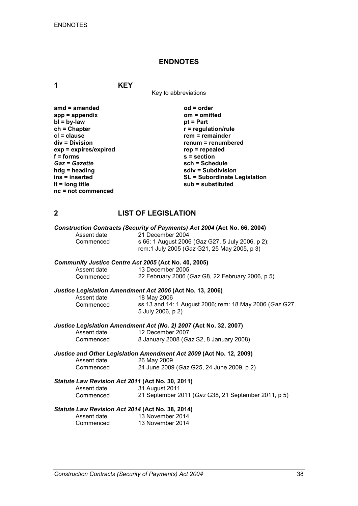# **ENDNOTES**

**1 KEY**

Key to abbreviations

| $amd = amended$       | $od = order$                        |
|-----------------------|-------------------------------------|
| $app = appendix$      | om = omitted                        |
| $bl = by-law$         | $pt = Part$                         |
| $ch = Chapter$        | $r =$ regulation/rule               |
| $cl = clause$         | $rem = remainder$                   |
| div = Division        | renum = renumbered                  |
| exp = expires/expired | $rep = repeated$                    |
| $f = forms$           | $s =$ section                       |
| <b>Gaz = Gazette</b>  | sch = Schedule                      |
| $hdg =$ heading       | sdiv = Subdivision                  |
| ins = inserted        | <b>SL = Subordinate Legislation</b> |
| It = $long$ title     | sub = substituted                   |
| $nc = not$ commenced  |                                     |

# **2 LIST OF LEGISLATION**

|             |                                                      | Construction Contracts (Security of Payments) Act 2004 (Act No. 66, 2004) |
|-------------|------------------------------------------------------|---------------------------------------------------------------------------|
| Assent date |                                                      | 21 December 2004                                                          |
| Commenced   |                                                      | s 66: 1 August 2006 (Gaz G27, 5 July 2006, p 2);                          |
|             |                                                      | rem:1 July 2005 (Gaz G21, 25 May 2005, p 3)                               |
|             | Community Justice Centre Act 2005 (Act No. 40, 2005) |                                                                           |
| Assent date | 13 December 2005                                     |                                                                           |
|             | Commenced                                            | 22 February 2006 (Gaz G8, 22 February 2006, p 5)                          |
|             |                                                      | Justice Legislation Amendment Act 2006 (Act No. 13, 2006)                 |
| Assent date | 18 May 2006                                          |                                                                           |
| Commenced   |                                                      | ss 13 and 14: 1 August 2006; rem: 18 May 2006 (Gaz G27,                   |
|             | 5 July 2006, p 2)                                    |                                                                           |
|             |                                                      | Justice Legislation Amendment Act (No. 2) 2007 (Act No. 32, 2007)         |
| Assent date |                                                      | 12 December 2007                                                          |
|             | Commenced                                            | 8 January 2008 (Gaz S2, 8 January 2008)                                   |
|             |                                                      | Justice and Other Legislation Amendment Act 2009 (Act No. 12, 2009)       |
|             | Assent date<br>26 May 2009                           |                                                                           |
| Commenced   |                                                      | 24 June 2009 (Gaz G25, 24 June 2009, p 2)                                 |
|             | Statute Law Revision Act 2011 (Act No. 30, 2011)     |                                                                           |
|             | Assent date 31 August 2011                           |                                                                           |
|             | Commenced                                            | 21 September 2011 (Gaz G38, 21 September 2011, p 5)                       |
|             | Statute Law Revision Act 2014 (Act No. 38, 2014)     |                                                                           |
| Assent date | 13 November 2014                                     |                                                                           |
|             | Commenced                                            | 13 November 2014                                                          |